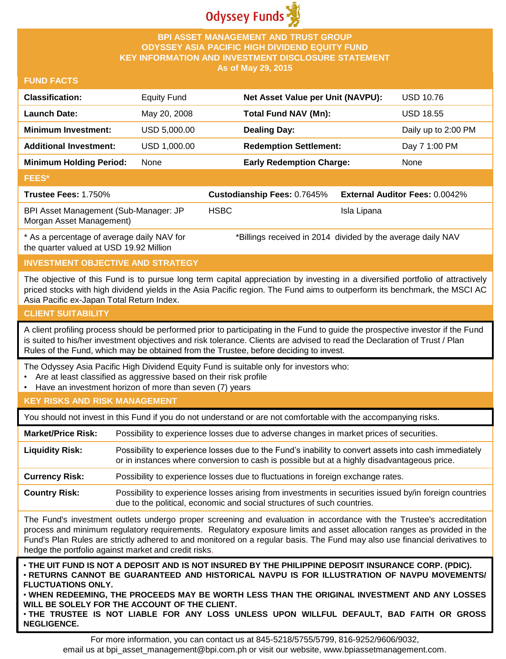

### **BPI ASSET MANAGEMENT AND TRUST GROUP ODYSSEY ASIA PACIFIC HIGH DIVIDEND EQUITY FUND KEY INFORMATION AND INVESTMENT DISCLOSURE STATEMENT As of May 29, 2015**

### **FUND FACTS**

| <b>Classification:</b>                                            | <b>Equity Fund</b> |             | Net Asset Value per Unit (NAVPU):                            |             | <b>USD 10.76</b>                      |
|-------------------------------------------------------------------|--------------------|-------------|--------------------------------------------------------------|-------------|---------------------------------------|
| <b>Launch Date:</b>                                               | May 20, 2008       |             | <b>Total Fund NAV (Mn):</b>                                  |             | <b>USD 18.55</b>                      |
| <b>Minimum Investment:</b>                                        | USD 5,000.00       |             | <b>Dealing Day:</b>                                          |             | Daily up to 2:00 PM                   |
| <b>Additional Investment:</b>                                     | USD 1,000.00       |             | <b>Redemption Settlement:</b>                                |             | Day 7 1:00 PM                         |
| <b>Minimum Holding Period:</b>                                    | None               |             | <b>Early Redemption Charge:</b>                              |             | None                                  |
| <b>FEES*</b>                                                      |                    |             |                                                              |             |                                       |
| Trustee Fees: 1.750%                                              |                    |             | Custodianship Fees: 0.7645%                                  |             | <b>External Auditor Fees: 0.0042%</b> |
| BPI Asset Management (Sub-Manager: JP<br>Morgan Asset Management) |                    | <b>HSBC</b> |                                                              | Isla Lipana |                                       |
| $*$ As a nercentage of average daily NAV for                      |                    |             | *Rillings received in 2014, divided by the average daily NAV |             |                                       |

a percentage of average daily NAV for the quarter valued at USD 19.92 Million

Billings received in 2014 divided by the average daily NAV

# **INVESTMENT OBJECTIVE AND STRATEGY**

The objective of this Fund is to pursue long term capital appreciation by investing in a diversified portfolio of attractively priced stocks with high dividend yields in the Asia Pacific region. The Fund aims to outperform its benchmark, the MSCI AC Asia Pacific ex-Japan Total Return Index.

# **CLIENT SUITABILITY**

A client profiling process should be performed prior to participating in the Fund to guide the prospective investor if the Fund is suited to his/her investment objectives and risk tolerance. Clients are advised to read the Declaration of Trust / Plan Rules of the Fund, which may be obtained from the Trustee, before deciding to invest.

The Odyssey Asia Pacific High Dividend Equity Fund is suitable only for investors who:

- Are at least classified as aggressive based on their risk profile
- Have an investment horizon of more than seven (7) years

### **KEY RISKS AND RISK MANAGEMENT**

You should not invest in this Fund if you do not understand or are not comfortable with the accompanying risks.

**Market/Price Risk:** Possibility to experience losses due to adverse changes in market prices of securities.

**Liquidity Risk:** Possibility to experience losses due to the Fund's inability to convert assets into cash immediately or in instances where conversion to cash is possible but at a highly disadvantageous price.

**Currency Risk:** Possibility to experience losses due to fluctuations in foreign exchange rates.

**Country Risk:** Possibility to experience losses arising from investments in securities issued by/in foreign countries due to the political, economic and social structures of such countries.

The Fund's investment outlets undergo proper screening and evaluation in accordance with the Trustee's accreditation process and minimum regulatory requirements. Regulatory exposure limits and asset allocation ranges as provided in the Fund's Plan Rules are strictly adhered to and monitored on a regular basis. The Fund may also use financial derivatives to hedge the portfolio against market and credit risks.

. THE UIT FUND IS NOT A DEPOSIT AND IS NOT INSURED BY THE PHILIPPINE DEPOSIT INSURANCE CORP. (PDIC). • **RETURNS CANNOT BE GUARANTEED AND HISTORICAL NAVPU IS FOR ILLUSTRATION OF NAVPU MOVEMENTS/ FLUCTUATIONS ONLY.**

• **WHEN REDEEMING, THE PROCEEDS MAY BE WORTH LESS THAN THE ORIGINAL INVESTMENT AND ANY LOSSES WILL BE SOLELY FOR THE ACCOUNT OF THE CLIENT.**

• **THE TRUSTEE IS NOT LIABLE FOR ANY LOSS UNLESS UPON WILLFUL DEFAULT, BAD FAITH OR GROSS NEGLIGENCE.**

For more information, you can contact us at 845-5218/5755/5799, 816-9252/9606/9032, email us at bpi asset management@bpi.com.ph or visit our website, www.bpiassetmanagement.com.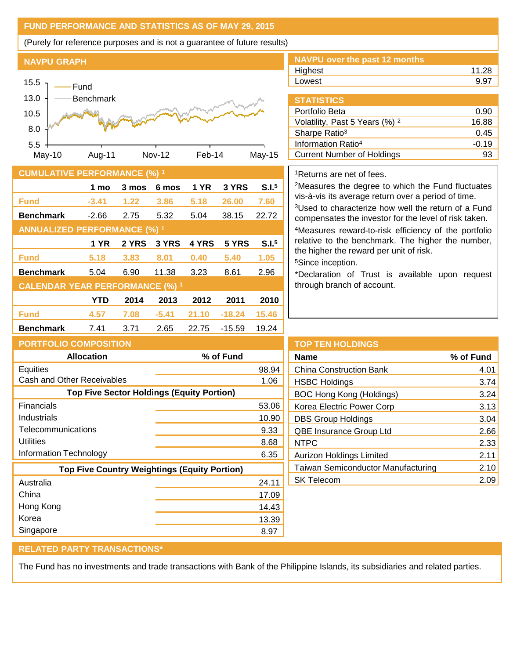# **FUND PERFORMANCE AND STATISTICS AS OF MAY 29, 2015**

(Purely for reference purposes and is not a guarantee of future results)

### **NAVPU GRAPH**



#### **CUMULATIVE PERFORMANCE (%) <sup>1</sup>**

|                                        | 1 mo    | 3 mos | 6 mos   | 1 YR  | 3 YRS    | S.I. <sup>5</sup> |
|----------------------------------------|---------|-------|---------|-------|----------|-------------------|
| <b>Fund</b>                            | $-3.41$ | 1.22  | 3.86    | 5.18  | 26,00    | 7.60              |
| <b>Benchmark</b>                       | $-2.66$ | 2.75  | 5.32    | 5.04  | 38.15    | 22.72             |
| <b>ANNUALIZED PERFORMANCE (%) 1</b>    |         |       |         |       |          |                   |
|                                        | 1 YR    | 2 YRS | 3 YRS   | 4 YRS | 5 YRS    | S.I. <sup>5</sup> |
| <b>Fund</b>                            | 5.18    | 3.83  | 8.01    | 0.40  | 5.40     | 1.05              |
| <b>Benchmark</b>                       | 5.04    | 6.90  | 11.38   | 3.23  | 8.61     | 2.96              |
| <b>CALENDAR YEAR PERFORMANCE (%) 1</b> |         |       |         |       |          |                   |
|                                        | YTD     | 2014  | 2013    | 2012  | 2011     | 2010              |
| <b>Fund</b>                            | 4.57    | 7.08  | $-5.41$ | 21.10 | $-18.24$ | 15.46             |
| <b>Benchmark</b>                       | 7.41    | 3.71  | 2.65    | 22.75 | $-15.59$ | 19.24             |

| NAVPU over the past 12 months |       |
|-------------------------------|-------|
| Highest                       | 11.28 |
| Lowest                        | 9.97  |
|                               |       |

| <b>STATISTICS</b>                         |         |
|-------------------------------------------|---------|
| Portfolio Beta                            | 0.90    |
| Volatility, Past 5 Years (%) <sup>2</sup> | 16.88   |
| Sharpe Ratio <sup>3</sup>                 | 0.45    |
| Information Ratio <sup>4</sup>            | $-0.19$ |
| <b>Current Number of Holdings</b>         |         |

### <sup>1</sup>Returns are net of fees.

<sup>2</sup>Measures the degree to which the Fund fluctuates vis-à-vis its average return over a period of time.

<sup>3</sup>Used to characterize how well the return of a Fund compensates the investor for the level of risk taken. <sup>4</sup>Measures reward-to-risk efficiency of the portfolio relative to the benchmark. The higher the number, the higher the reward per unit of risk.

<sup>5</sup>Since inception.

\*Declaration of Trust is available upon request through branch of account.

| <b>PORTFOLIO COMPOSITION</b>                        |           |  |  |  |
|-----------------------------------------------------|-----------|--|--|--|
| <b>Allocation</b>                                   | % of Fund |  |  |  |
| <b>Equities</b>                                     | 98.94     |  |  |  |
| Cash and Other Receivables                          | 1.06      |  |  |  |
| <b>Top Five Sector Holdings (Equity Portion)</b>    |           |  |  |  |
| Financials                                          | 53.06     |  |  |  |
| Industrials                                         | 10.90     |  |  |  |
| Telecommunications                                  | 9.33      |  |  |  |
| Utilities                                           | 8.68      |  |  |  |
| Information Technology                              | 6.35      |  |  |  |
| <b>Top Five Country Weightings (Equity Portion)</b> |           |  |  |  |
| Australia                                           | 24.11     |  |  |  |
| China                                               | 17.09     |  |  |  |
| Hong Kong                                           | 14.43     |  |  |  |
| Korea                                               | 13.39     |  |  |  |
| Singapore                                           | 8.97      |  |  |  |

| <b>TOP TEN HOLDINGS</b>                   |           |
|-------------------------------------------|-----------|
| <b>Name</b>                               | % of Fund |
| <b>China Construction Bank</b>            | 4.01      |
| <b>HSBC Holdings</b>                      | 3.74      |
| BOC Hong Kong (Holdings)                  | 3.24      |
| Korea Electric Power Corp                 | 3.13      |
| <b>DBS Group Holdings</b>                 | 3.04      |
| QBE Insurance Group Ltd                   | 2.66      |
| <b>NTPC</b>                               | 2.33      |
| Aurizon Holdings Limited                  | 2.11      |
| <b>Taiwan Semiconductor Manufacturing</b> | 2.10      |
| <b>SK Telecom</b>                         | 2.09      |
|                                           |           |

### **RELATED PARTY TRANSACTIONS\***

The Fund has no investments and trade transactions with Bank of the Philippine Islands, its subsidiaries and related parties.